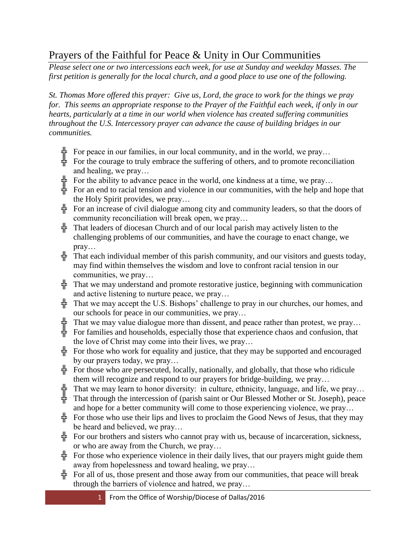## Prayers of the Faithful for Peace & Unity in Our Communities

*Please select one or two intercessions each week, for use at Sunday and weekday Masses. The first petition is generally for the local church, and a good place to use one of the following.*

*St. Thomas More offered this prayer: Give us, Lord, the grace to work for the things we pray for. This seems an appropriate response to the Prayer of the Faithful each week, if only in our hearts, particularly at a time in our world when violence has created suffering communities throughout the U.S. Intercessory prayer can advance the cause of building bridges in our communities.*

- $\frac{1}{2}$  For peace in our families, in our local community, and in the world, we pray...
- $\frac{1}{\tau}$  For the courage to truly embrace the suffering of others, and to promote reconciliation and healing, we pray…
- $\frac{1}{2}$  For the ability to advance peace in the world, one kindness at a time, we pray...
- $\frac{1}{2}$  For an end to racial tension and violence in our communities, with the help and hope that the Holy Spirit provides, we pray…
- For an increase of civil dialogue among city and community leaders, so that the doors of community reconciliation will break open, we pray…
- $\frac{1}{2}$  That leaders of diocesan Church and of our local parish may actively listen to the challenging problems of our communities, and have the courage to enact change, we pray…
- $\frac{1}{2}$  That each individual member of this parish community, and our visitors and guests today, may find within themselves the wisdom and love to confront racial tension in our communities, we pray…
- $\frac{1}{T}$  That we may understand and promote restorative justice, beginning with communication and active listening to nurture peace, we pray…
- $\frac{1}{T}$  That we may accept the U.S. Bishops' challenge to pray in our churches, our homes, and our schools for peace in our communities, we pray…
- $\frac{1}{k}$  That we may value dialogue more than dissent, and peace rather than protest, we pray...
- $\frac{1}{\tau}$  For families and households, especially those that experience chaos and confusion, that the love of Christ may come into their lives, we pray…
- For those who work for equality and justice, that they may be supported and encouraged by our prayers today, we pray…
- $\frac{1}{2}$  For those who are persecuted, locally, nationally, and globally, that those who ridicule them will recognize and respond to our prayers for bridge-building, we pray…
- $\frac{1}{k}$  That we may learn to honor diversity: in culture, ethnicity, language, and life, we pray...
- $\frac{1}{2}$  That through the intercession of (parish saint or Our Blessed Mother or St. Joseph), peace and hope for a better community will come to those experiencing violence, we pray…
- For those who use their lips and lives to proclaim the Good News of Jesus, that they may be heard and believed, we pray…
- $\frac{1}{2}$  For our brothers and sisters who cannot pray with us, because of incarceration, sickness, or who are away from the Church, we pray…
- $\frac{1}{\sqrt{1}}$  For those who experience violence in their daily lives, that our prayers might guide them away from hopelessness and toward healing, we pray…
- For all of us, those present and those away from our communities, that peace will break through the barriers of violence and hatred, we pray…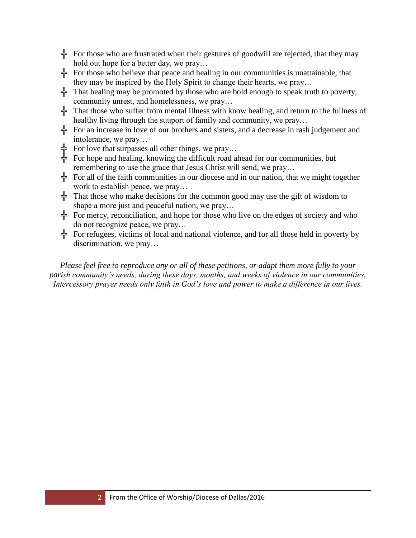- For those who are frustrated when their gestures of goodwill are rejected, that they may hold out hope for a better day, we pray…
- For those who believe that peace and healing in our communities is unattainable, that they may be inspired by the Holy Spirit to change their hearts, we pray…
- $\frac{1}{k}$  That healing may be promoted by those who are bold enough to speak truth to poverty, community unrest, and homelessness, we pray…
- $\frac{1}{\sqrt{1}}$  That those who suffer from mental illness with know healing, and return to the fullness of healthy living through the suuport of family and community, we pray…
- For an increase in love of our brothers and sisters, and a decrease in rash judgement and intolerance, we pray…
- $\frac{1}{2}$  For love that surpasses all other things, we pray...
- $\frac{1}{k}$  For hope and healing, knowing the difficult road ahead for our communities, but remembering to use the grace that Jesus Christ will send, we pray…
- For all of the faith communities in our diocese and in our nation, that we might together work to establish peace, we pray…
- $\frac{1}{T}$  That those who make decisions for the common good may use the gift of wisdom to shape a more just and peaceful nation, we pray…
- $\frac{1}{2}$  For mercy, reconciliation, and hope for those who live on the edges of society and who do not recognize peace, we pray…
- $\frac{1}{\sqrt{2}}$  For refugees, victims of local and national violence, and for all those held in poverty by discrimination, we pray…

*Please feel free to reproduce any or all of these petitions, or adapt them more fully to your parish community's needs, during these days, months, and weeks of violence in our communities. Intercessory prayer needs only faith in God's love and power to make a difference in our lives.*